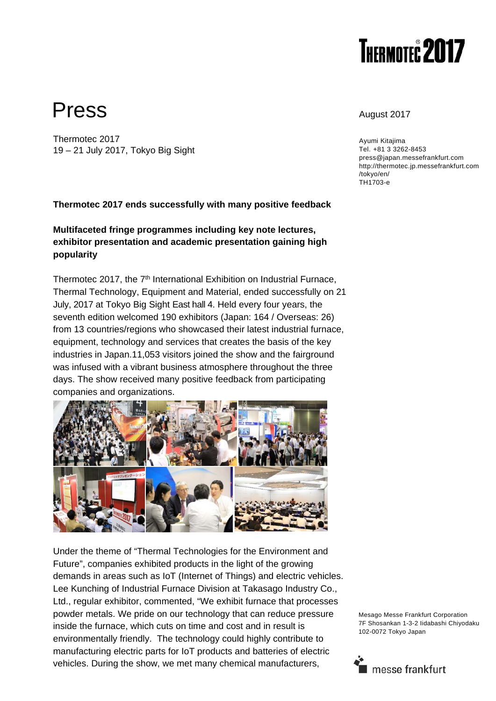

# Press August 2017

Thermotec 2017 19 – 21 July 2017, Tokyo Big Sight

Ayumi Kitajima Tel. +81 3 3262-8453 press@japan.messefrankfurt.com http://thermotec.jp.messefrankfurt.com /tokyo/en/ TH1703-e

### **Thermotec 2017 ends successfully with many positive feedback**

## **Multifaceted fringe programmes including key note lectures, exhibitor presentation and academic presentation gaining high popularity**

Thermotec 2017, the 7<sup>th</sup> International Exhibition on Industrial Furnace, Thermal Technology, Equipment and Material, ended successfully on 21 July, 2017 at Tokyo Big Sight East hall 4. Held every four years, the seventh edition welcomed 190 exhibitors (Japan: 164 / Overseas: 26) from 13 countries/regions who showcased their latest industrial furnace, equipment, technology and services that creates the basis of the key industries in Japan.11,053 visitors joined the show and the fairground was infused with a vibrant business atmosphere throughout the three days. The show received many positive feedback from participating companies and organizations.



Under the theme of "Thermal Technologies for the Environment and Future", companies exhibited products in the light of the growing demands in areas such as IoT (Internet of Things) and electric vehicles. Lee Kunching of Industrial Furnace Division at Takasago Industry Co., Ltd., regular exhibitor, commented, "We exhibit furnace that processes powder metals. We pride on our technology that can reduce pressure inside the furnace, which cuts on time and cost and in result is environmentally friendly. The technology could highly contribute to manufacturing electric parts for IoT products and batteries of electric vehicles. During the show, we met many chemical manufacturers,

Mesago Messe Frankfurt Corporation 7F Shosankan 1-3-2 Iidabashi Chiyodaku 102-0072 Tokyo Japan